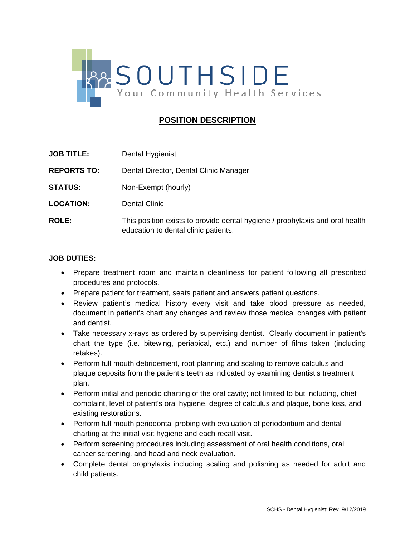

## **POSITION DESCRIPTION**

| <b>JOB TITLE:</b>  | Dental Hygienist                                                                                                     |
|--------------------|----------------------------------------------------------------------------------------------------------------------|
| <b>REPORTS TO:</b> | Dental Director, Dental Clinic Manager                                                                               |
| <b>STATUS:</b>     | Non-Exempt (hourly)                                                                                                  |
| <b>LOCATION:</b>   | <b>Dental Clinic</b>                                                                                                 |
| <b>ROLE:</b>       | This position exists to provide dental hygiene / prophylaxis and oral health<br>education to dental clinic patients. |

## **JOB DUTIES:**

- Prepare treatment room and maintain cleanliness for patient following all prescribed procedures and protocols.
- Prepare patient for treatment, seats patient and answers patient questions.
- Review patient's medical history every visit and take blood pressure as needed, document in patient's chart any changes and review those medical changes with patient and dentist.
- Take necessary x-rays as ordered by supervising dentist. Clearly document in patient's chart the type (i.e. bitewing, periapical, etc.) and number of films taken (including retakes).
- Perform full mouth debridement, root planning and scaling to remove calculus and plaque deposits from the patient's teeth as indicated by examining dentist's treatment plan.
- Perform initial and periodic charting of the oral cavity; not limited to but including, chief complaint, level of patient's oral hygiene, degree of calculus and plaque, bone loss, and existing restorations.
- Perform full mouth periodontal probing with evaluation of periodontium and dental charting at the initial visit hygiene and each recall visit.
- Perform screening procedures including assessment of oral health conditions, oral cancer screening, and head and neck evaluation.
- Complete dental prophylaxis including scaling and polishing as needed for adult and child patients.